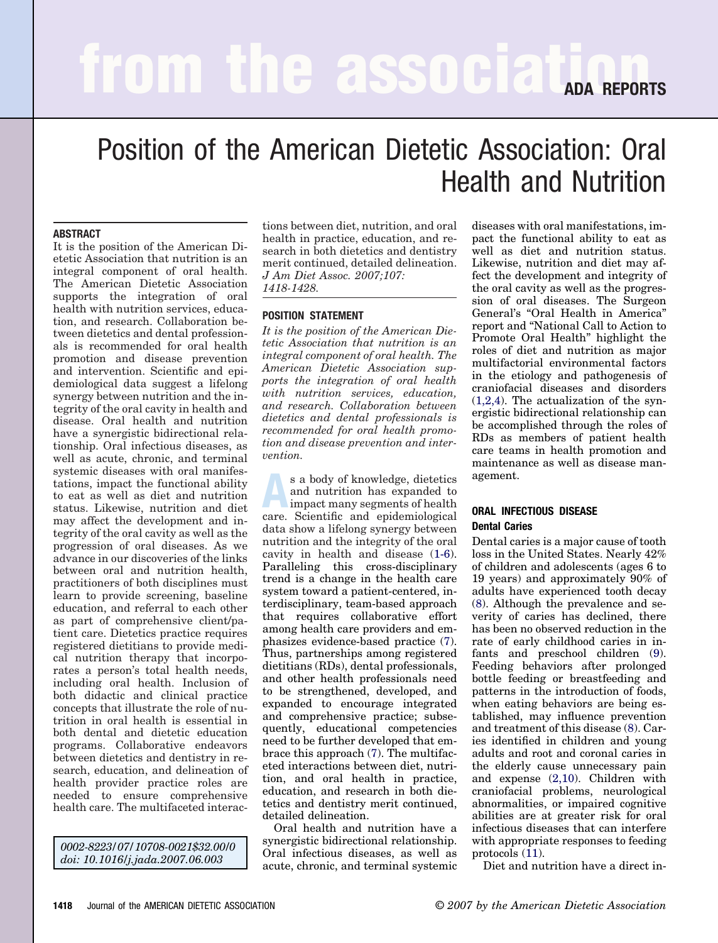# **from the association**

# Position of the American Dietetic Association: Oral Health and Nutrition

#### **ABSTRACT**

It is the position of the American Dietetic Association that nutrition is an integral component of oral health. The American Dietetic Association supports the integration of oral health with nutrition services, education, and research. Collaboration between dietetics and dental professionals is recommended for oral health promotion and disease prevention and intervention. Scientific and epidemiological data suggest a lifelong synergy between nutrition and the integrity of the oral cavity in health and disease. Oral health and nutrition have a synergistic bidirectional relationship. Oral infectious diseases, as well as acute, chronic, and terminal systemic diseases with oral manifestations, impact the functional ability to eat as well as diet and nutrition status. Likewise, nutrition and diet may affect the development and integrity of the oral cavity as well as the progression of oral diseases. As we advance in our discoveries of the links between oral and nutrition health, practitioners of both disciplines must learn to provide screening, baseline education, and referral to each other as part of comprehensive client/patient care. Dietetics practice requires registered dietitians to provide medical nutrition therapy that incorporates a person's total health needs, including oral health. Inclusion of both didactic and clinical practice concepts that illustrate the role of nutrition in oral health is essential in both dental and dietetic education programs. Collaborative endeavors between dietetics and dentistry in research, education, and delineation of health provider practice roles are needed to ensure comprehensive health care. The multifaceted interac-

*0002-8223/07/10708-0021\$32.00/0 doi: 10.1016/j.jada.2007.06.003*

tions between diet, nutrition, and oral health in practice, education, and research in both dietetics and dentistry merit continued, detailed delineation. *J Am Diet Assoc. 2007;107: 1418-1428.*

#### **POSITION STATEMENT**

*It is the position of the American Dietetic Association that nutrition is an integral component of oral health. The American Dietetic Association supports the integration of oral health with nutrition services, education, and research. Collaboration between dietetics and dental professionals is recommended for oral health promotion and disease prevention and intervention.*

**A**s a body of knowledge, dietetics and nutrition has expanded to impact many segments of health care. Scientific and epidemiological data show a lifelong synergy between nutrition and the integrity of the oral cavity in health and disease [\(1-6\)](#page-8-0). Paralleling this cross-disciplinary trend is a change in the health care system toward a patient-centered, interdisciplinary, team-based approach that requires collaborative effort among health care providers and emphasizes evidence-based practice [\(7\)](#page-8-0). Thus, partnerships among registered dietitians (RDs), dental professionals, and other health professionals need to be strengthened, developed, and expanded to encourage integrated and comprehensive practice; subsequently, educational competencies need to be further developed that embrace this approach [\(7\)](#page-8-0). The multifaceted interactions between diet, nutrition, and oral health in practice, education, and research in both dietetics and dentistry merit continued, detailed delineation.

Oral health and nutrition have a synergistic bidirectional relationship. Oral infectious diseases, as well as acute, chronic, and terminal systemic diseases with oral manifestations, impact the functional ability to eat as well as diet and nutrition status. Likewise, nutrition and diet may affect the development and integrity of the oral cavity as well as the progression of oral diseases. The Surgeon General's "Oral Health in America" report and "National Call to Action to Promote Oral Health" highlight the roles of diet and nutrition as major multifactorial environmental factors in the etiology and pathogenesis of craniofacial diseases and disorders [\(1,2,4\)](#page-8-0). The actualization of the synergistic bidirectional relationship can be accomplished through the roles of RDs as members of patient health care teams in health promotion and maintenance as well as disease management.

#### **ORAL INFECTIOUS DISEASE Dental Caries**

Dental caries is a major cause of tooth loss in the United States. Nearly 42% of children and adolescents (ages 6 to 19 years) and approximately 90% of adults have experienced tooth decay [\(8\)](#page-8-0). Although the prevalence and severity of caries has declined, there has been no observed reduction in the rate of early childhood caries in infants and preschool children [\(9\)](#page-8-0). Feeding behaviors after prolonged bottle feeding or breastfeeding and patterns in the introduction of foods, when eating behaviors are being established, may influence prevention and treatment of this disease [\(8\)](#page-8-0). Caries identified in children and young adults and root and coronal caries in the elderly cause unnecessary pain and expense [\(2,10\)](#page-8-0). Children with craniofacial problems, neurological abnormalities, or impaired cognitive abilities are at greater risk for oral infectious diseases that can interfere with appropriate responses to feeding protocols [\(11\)](#page-8-0).

Diet and nutrition have a direct in-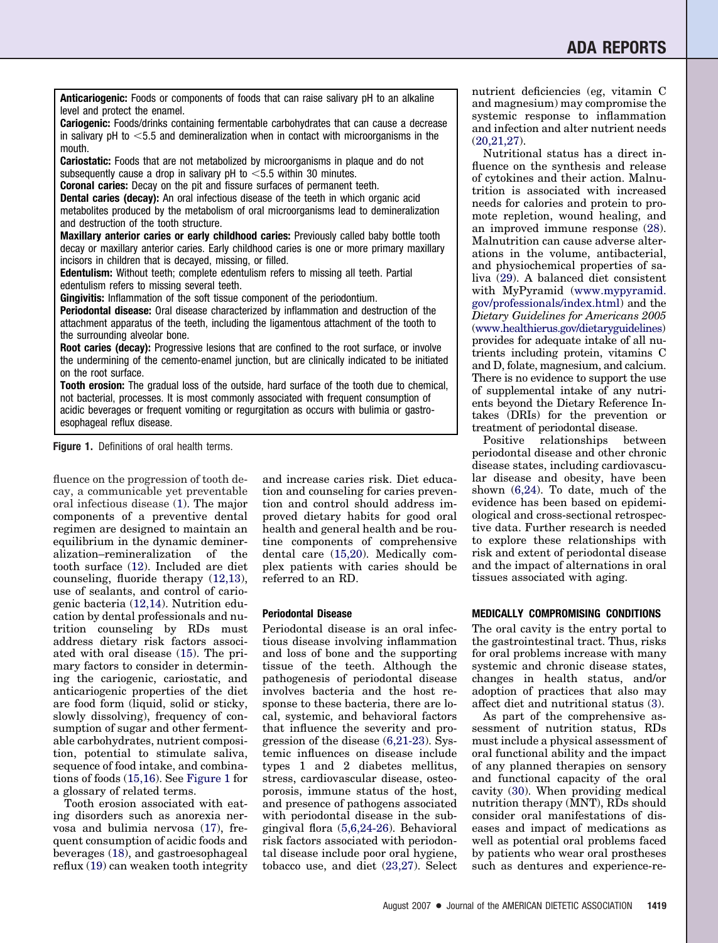**Anticariogenic:** Foods or components of foods that can raise salivary pH to an alkaline level and protect the enamel.

**Cariogenic:** Foods/drinks containing fermentable carbohydrates that can cause a decrease in salivary  $pH$  to  $<$  5.5 and demineralization when in contact with microorganisms in the mouth.

**Cariostatic:** Foods that are not metabolized by microorganisms in plaque and do not subsequently cause a drop in salivary  $pH$  to  $\leq$  5.5 within 30 minutes.

**Coronal caries:** Decay on the pit and fissure surfaces of permanent teeth.

**Dental caries (decay):** An oral infectious disease of the teeth in which organic acid metabolites produced by the metabolism of oral microorganisms lead to demineralization

and destruction of the tooth structure.

**Maxillary anterior caries or early childhood caries:** Previously called baby bottle tooth decay or maxillary anterior caries. Early childhood caries is one or more primary maxillary incisors in children that is decayed, missing, or filled.

**Edentulism:** Without teeth; complete edentulism refers to missing all teeth. Partial edentulism refers to missing several teeth.

**Gingivitis:** Inflammation of the soft tissue component of the periodontium.

**Periodontal disease:** Oral disease characterized by inflammation and destruction of the attachment apparatus of the teeth, including the ligamentous attachment of the tooth to the surrounding alveolar bone.

**Root caries (decay):** Progressive lesions that are confined to the root surface, or involve the undermining of the cemento-enamel junction, but are clinically indicated to be initiated on the root surface.

**Tooth erosion:** The gradual loss of the outside, hard surface of the tooth due to chemical, not bacterial, processes. It is most commonly associated with frequent consumption of acidic beverages or frequent vomiting or regurgitation as occurs with bulimia or gastroesophageal reflux disease.

**Figure 1.** Definitions of oral health terms.

fluence on the progression of tooth decay, a communicable yet preventable oral infectious disease [\(1\)](#page-8-0). The major components of a preventive dental regimen are designed to maintain an equilibrium in the dynamic demineralization–remineralization of the tooth surface [\(12\)](#page-8-0). Included are diet counseling, fluoride therapy [\(12,13\)](#page-8-0), use of sealants, and control of cariogenic bacteria [\(12,14\)](#page-8-0). Nutrition education by dental professionals and nutrition counseling by RDs must address dietary risk factors associated with oral disease [\(15\)](#page-8-0). The primary factors to consider in determining the cariogenic, cariostatic, and anticariogenic properties of the diet are food form (liquid, solid or sticky, slowly dissolving), frequency of consumption of sugar and other fermentable carbohydrates, nutrient composition, potential to stimulate saliva, sequence of food intake, and combinations of foods [\(15,16\)](#page-8-0). See Figure 1 for a glossary of related terms.

Tooth erosion associated with eating disorders such as anorexia nervosa and bulimia nervosa [\(17\)](#page-8-0), frequent consumption of acidic foods and beverages [\(18\)](#page-8-0), and gastroesophageal reflux [\(19\)](#page-8-0) can weaken tooth integrity and increase caries risk. Diet education and counseling for caries prevention and control should address improved dietary habits for good oral health and general health and be routine components of comprehensive dental care [\(15,20\)](#page-8-0). Medically complex patients with caries should be referred to an RD.

#### **Periodontal Disease**

Periodontal disease is an oral infectious disease involving inflammation and loss of bone and the supporting tissue of the teeth. Although the pathogenesis of periodontal disease involves bacteria and the host response to these bacteria, there are local, systemic, and behavioral factors that influence the severity and progression of the disease [\(6,21-23\)](#page-8-0). Systemic influences on disease include types 1 and 2 diabetes mellitus, stress, cardiovascular disease, osteoporosis, immune status of the host, and presence of pathogens associated with periodontal disease in the subgingival flora [\(5,6,24-26\)](#page-8-0). Behavioral risk factors associated with periodontal disease include poor oral hygiene, tobacco use, and diet [\(23,27\)](#page-8-0). Select nutrient deficiencies (eg, vitamin C and magnesium) may compromise the systemic response to inflammation and infection and alter nutrient needs [\(20,21,27\)](#page-8-0).

Nutritional status has a direct influence on the synthesis and release of cytokines and their action. Malnutrition is associated with increased needs for calories and protein to promote repletion, wound healing, and an improved immune response [\(28\)](#page-8-0). Malnutrition can cause adverse alterations in the volume, antibacterial, and physiochemical properties of saliva [\(29\)](#page-8-0). A balanced diet consistent with MyPyramid [\(www.mypyramid.](http://www.mypyramid.gov/professionals/index.html) [gov/professionals/index.html\)](http://www.mypyramid.gov/professionals/index.html) and the *Dietary Guidelines for Americans 2005* [\(www.healthierus.gov/dietaryguidelines\)](http://www.healthierus.gov/dietaryguidelines) provides for adequate intake of all nutrients including protein, vitamins C and D, folate, magnesium, and calcium. There is no evidence to support the use of supplemental intake of any nutrients beyond the Dietary Reference Intakes (DRIs) for the prevention or treatment of periodontal disease.

Positive relationships between periodontal disease and other chronic disease states, including cardiovascular disease and obesity, have been shown [\(6,24\)](#page-8-0). To date, much of the evidence has been based on epidemiological and cross-sectional retrospective data. Further research is needed to explore these relationships with risk and extent of periodontal disease and the impact of alternations in oral tissues associated with aging.

#### **MEDICALLY COMPROMISING CONDITIONS**

The oral cavity is the entry portal to the gastrointestinal tract. Thus, risks for oral problems increase with many systemic and chronic disease states, changes in health status, and/or adoption of practices that also may affect diet and nutritional status [\(3\)](#page-8-0).

As part of the comprehensive assessment of nutrition status, RDs must include a physical assessment of oral functional ability and the impact of any planned therapies on sensory and functional capacity of the oral cavity [\(30\)](#page-8-0). When providing medical nutrition therapy (MNT), RDs should consider oral manifestations of diseases and impact of medications as well as potential oral problems faced by patients who wear oral prostheses such as dentures and experience-re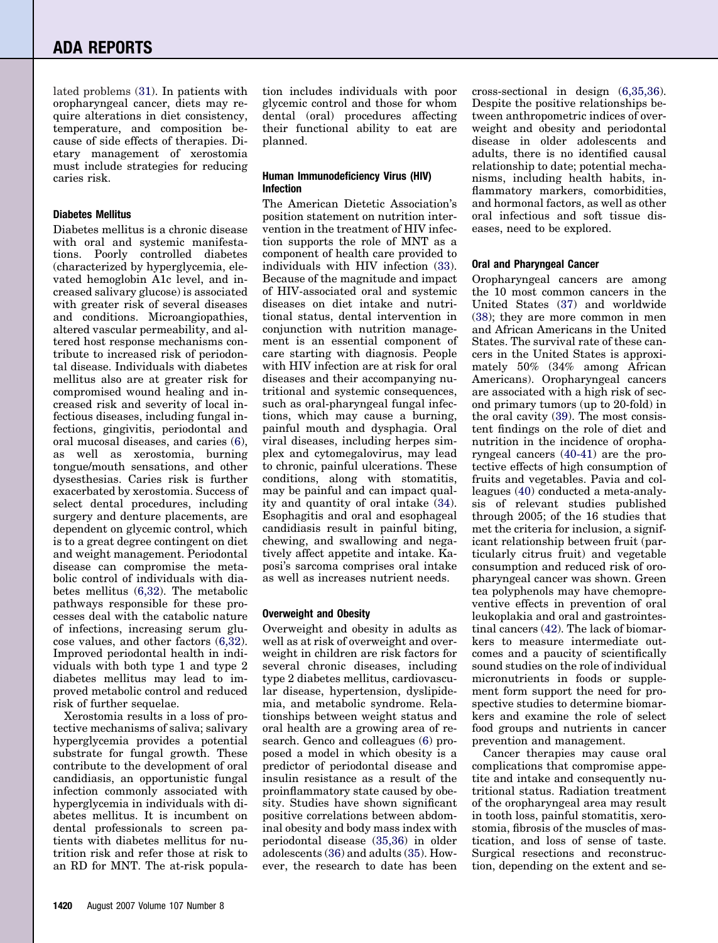lated problems [\(31\)](#page-8-0). In patients with oropharyngeal cancer, diets may require alterations in diet consistency, temperature, and composition because of side effects of therapies. Dietary management of xerostomia must include strategies for reducing caries risk.

#### **Diabetes Mellitus**

Diabetes mellitus is a chronic disease with oral and systemic manifestations. Poorly controlled diabetes (characterized by hyperglycemia, elevated hemoglobin A1c level, and increased salivary glucose) is associated with greater risk of several diseases and conditions. Microangiopathies, altered vascular permeability, and altered host response mechanisms contribute to increased risk of periodontal disease. Individuals with diabetes mellitus also are at greater risk for compromised wound healing and increased risk and severity of local infectious diseases, including fungal infections, gingivitis, periodontal and oral mucosal diseases, and caries [\(6\)](#page-8-0), as well as xerostomia, burning tongue/mouth sensations, and other dysesthesias. Caries risk is further exacerbated by xerostomia. Success of select dental procedures, including surgery and denture placements, are dependent on glycemic control, which is to a great degree contingent on diet and weight management. Periodontal disease can compromise the metabolic control of individuals with diabetes mellitus [\(6,32\)](#page-8-0). The metabolic pathways responsible for these processes deal with the catabolic nature of infections, increasing serum glucose values, and other factors [\(6,32\)](#page-8-0). Improved periodontal health in individuals with both type 1 and type 2 diabetes mellitus may lead to improved metabolic control and reduced risk of further sequelae.

Xerostomia results in a loss of protective mechanisms of saliva; salivary hyperglycemia provides a potential substrate for fungal growth. These contribute to the development of oral candidiasis, an opportunistic fungal infection commonly associated with hyperglycemia in individuals with diabetes mellitus. It is incumbent on dental professionals to screen patients with diabetes mellitus for nutrition risk and refer those at risk to an RD for MNT. The at-risk population includes individuals with poor glycemic control and those for whom dental (oral) procedures affecting their functional ability to eat are planned.

#### **Human Immunodeficiency Virus (HIV) Infection**

The American Dietetic Association's position statement on nutrition intervention in the treatment of HIV infection supports the role of MNT as a component of health care provided to individuals with HIV infection [\(33\)](#page-8-0). Because of the magnitude and impact of HIV-associated oral and systemic diseases on diet intake and nutritional status, dental intervention in conjunction with nutrition management is an essential component of care starting with diagnosis. People with HIV infection are at risk for oral diseases and their accompanying nutritional and systemic consequences, such as oral-pharyngeal fungal infections, which may cause a burning, painful mouth and dysphagia. Oral viral diseases, including herpes simplex and cytomegalovirus, may lead to chronic, painful ulcerations. These conditions, along with stomatitis, may be painful and can impact quality and quantity of oral intake [\(34\)](#page-8-0). Esophagitis and oral and esophageal candidiasis result in painful biting, chewing, and swallowing and negatively affect appetite and intake. Kaposi's sarcoma comprises oral intake as well as increases nutrient needs.

#### **Overweight and Obesity**

Overweight and obesity in adults as well as at risk of overweight and overweight in children are risk factors for several chronic diseases, including type 2 diabetes mellitus, cardiovascular disease, hypertension, dyslipidemia, and metabolic syndrome. Relationships between weight status and oral health are a growing area of research. Genco and colleagues [\(6\)](#page-8-0) proposed a model in which obesity is a predictor of periodontal disease and insulin resistance as a result of the proinflammatory state caused by obesity. Studies have shown significant positive correlations between abdominal obesity and body mass index with periodontal disease [\(35,36\)](#page-8-0) in older adolescents [\(36\)](#page-8-0) and adults [\(35\)](#page-8-0). However, the research to date has been

cross-sectional in design [\(6,35,36\)](#page-8-0). Despite the positive relationships between anthropometric indices of overweight and obesity and periodontal disease in older adolescents and adults, there is no identified causal relationship to date; potential mechanisms, including health habits, inflammatory markers, comorbidities, and hormonal factors, as well as other oral infectious and soft tissue diseases, need to be explored.

#### **Oral and Pharyngeal Cancer**

Oropharyngeal cancers are among the 10 most common cancers in the United States [\(37\)](#page-8-0) and worldwide [\(38\)](#page-9-0); they are more common in men and African Americans in the United States. The survival rate of these cancers in the United States is approximately 50% (34% among African Americans). Oropharyngeal cancers are associated with a high risk of second primary tumors (up to 20-fold) in the oral cavity [\(39\)](#page-9-0). The most consistent findings on the role of diet and nutrition in the incidence of oropharyngeal cancers [\(40-41\)](#page-9-0) are the protective effects of high consumption of fruits and vegetables. Pavia and colleagues [\(40\)](#page-9-0) conducted a meta-analysis of relevant studies published through 2005; of the 16 studies that met the criteria for inclusion, a significant relationship between fruit (particularly citrus fruit) and vegetable consumption and reduced risk of oropharyngeal cancer was shown. Green tea polyphenols may have chemopreventive effects in prevention of oral leukoplakia and oral and gastrointestinal cancers [\(42\)](#page-9-0). The lack of biomarkers to measure intermediate outcomes and a paucity of scientifically sound studies on the role of individual micronutrients in foods or supplement form support the need for prospective studies to determine biomarkers and examine the role of select food groups and nutrients in cancer prevention and management.

Cancer therapies may cause oral complications that compromise appetite and intake and consequently nutritional status. Radiation treatment of the oropharyngeal area may result in tooth loss, painful stomatitis, xerostomia, fibrosis of the muscles of mastication, and loss of sense of taste. Surgical resections and reconstruction, depending on the extent and se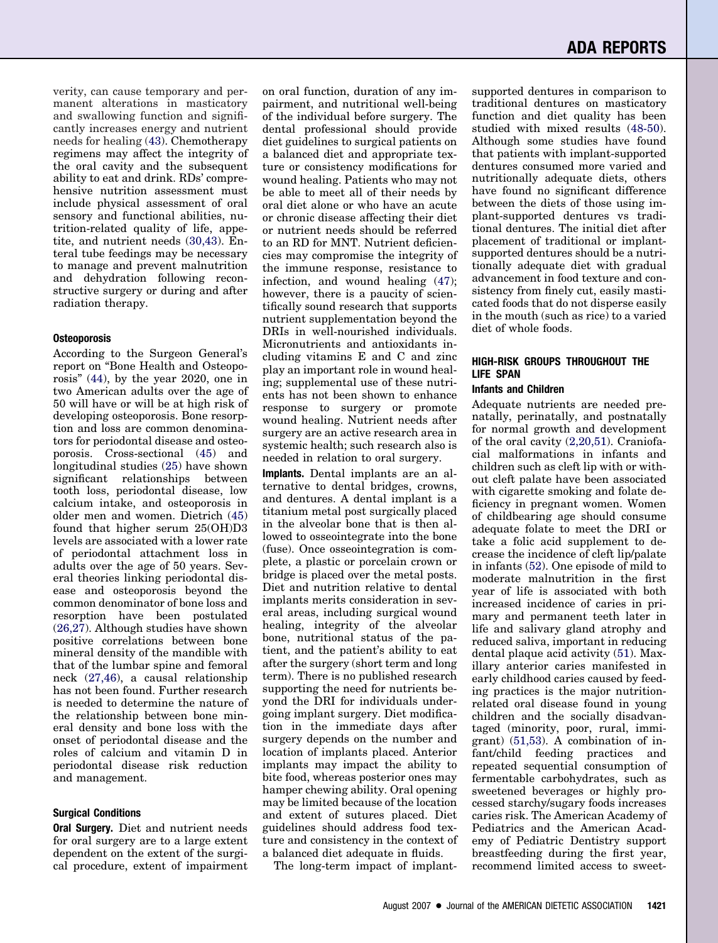verity, can cause temporary and permanent alterations in masticatory and swallowing function and significantly increases energy and nutrient needs for healing [\(43\)](#page-9-0). Chemotherapy regimens may affect the integrity of the oral cavity and the subsequent ability to eat and drink. RDs' comprehensive nutrition assessment must include physical assessment of oral sensory and functional abilities, nutrition-related quality of life, appetite, and nutrient needs [\(30,43\)](#page-8-0). Enteral tube feedings may be necessary to manage and prevent malnutrition and dehydration following reconstructive surgery or during and after radiation therapy.

#### **Osteoporosis**

According to the Surgeon General's report on "Bone Health and Osteoporosis" [\(44\)](#page-9-0), by the year 2020, one in two American adults over the age of 50 will have or will be at high risk of developing osteoporosis. Bone resorption and loss are common denominators for periodontal disease and osteoporosis. Cross-sectional [\(45\)](#page-9-0) and longitudinal studies [\(25\)](#page-8-0) have shown significant relationships between tooth loss, periodontal disease, low calcium intake, and osteoporosis in older men and women. Dietrich [\(45\)](#page-9-0) found that higher serum 25(OH)D3 levels are associated with a lower rate of periodontal attachment loss in adults over the age of 50 years. Several theories linking periodontal disease and osteoporosis beyond the common denominator of bone loss and resorption have been postulated [\(26,27\)](#page-8-0). Although studies have shown positive correlations between bone mineral density of the mandible with that of the lumbar spine and femoral neck [\(27,46\)](#page-8-0), a causal relationship has not been found. Further research is needed to determine the nature of the relationship between bone mineral density and bone loss with the onset of periodontal disease and the roles of calcium and vitamin D in periodontal disease risk reduction and management.

#### **Surgical Conditions**

**Oral Surgery.** Diet and nutrient needs for oral surgery are to a large extent dependent on the extent of the surgical procedure, extent of impairment on oral function, duration of any impairment, and nutritional well-being of the individual before surgery. The dental professional should provide diet guidelines to surgical patients on a balanced diet and appropriate texture or consistency modifications for wound healing. Patients who may not be able to meet all of their needs by oral diet alone or who have an acute or chronic disease affecting their diet or nutrient needs should be referred to an RD for MNT. Nutrient deficiencies may compromise the integrity of the immune response, resistance to infection, and wound healing [\(47\)](#page-9-0); however, there is a paucity of scientifically sound research that supports nutrient supplementation beyond the DRIs in well-nourished individuals. Micronutrients and antioxidants including vitamins E and C and zinc play an important role in wound healing; supplemental use of these nutrients has not been shown to enhance response to surgery or promote wound healing. Nutrient needs after surgery are an active research area in systemic health; such research also is needed in relation to oral surgery.

**Implants.** Dental implants are an alternative to dental bridges, crowns, and dentures. A dental implant is a titanium metal post surgically placed in the alveolar bone that is then allowed to osseointegrate into the bone (fuse). Once osseointegration is complete, a plastic or porcelain crown or bridge is placed over the metal posts. Diet and nutrition relative to dental implants merits consideration in several areas, including surgical wound healing, integrity of the alveolar bone, nutritional status of the patient, and the patient's ability to eat after the surgery (short term and long term). There is no published research supporting the need for nutrients beyond the DRI for individuals undergoing implant surgery. Diet modification in the immediate days after surgery depends on the number and location of implants placed. Anterior implants may impact the ability to bite food, whereas posterior ones may hamper chewing ability. Oral opening may be limited because of the location and extent of sutures placed. Diet guidelines should address food texture and consistency in the context of a balanced diet adequate in fluids.

The long-term impact of implant-

supported dentures in comparison to traditional dentures on masticatory function and diet quality has been studied with mixed results [\(48-50\)](#page-9-0). Although some studies have found that patients with implant-supported dentures consumed more varied and nutritionally adequate diets, others have found no significant difference between the diets of those using implant-supported dentures vs traditional dentures. The initial diet after placement of traditional or implantsupported dentures should be a nutritionally adequate diet with gradual advancement in food texture and consistency from finely cut, easily masticated foods that do not disperse easily in the mouth (such as rice) to a varied diet of whole foods.

#### **HIGH-RISK GROUPS THROUGHOUT THE LIFE SPAN**

#### **Infants and Children**

Adequate nutrients are needed prenatally, perinatally, and postnatally for normal growth and development of the oral cavity [\(2,20,51\)](#page-8-0). Craniofacial malformations in infants and children such as cleft lip with or without cleft palate have been associated with cigarette smoking and folate deficiency in pregnant women. Women of childbearing age should consume adequate folate to meet the DRI or take a folic acid supplement to decrease the incidence of cleft lip/palate in infants [\(52\)](#page-9-0). One episode of mild to moderate malnutrition in the first year of life is associated with both increased incidence of caries in primary and permanent teeth later in life and salivary gland atrophy and reduced saliva, important in reducing dental plaque acid activity [\(51\)](#page-9-0). Maxillary anterior caries manifested in early childhood caries caused by feeding practices is the major nutritionrelated oral disease found in young children and the socially disadvantaged (minority, poor, rural, immigrant) [\(51,53\)](#page-9-0). A combination of infant/child feeding practices and repeated sequential consumption of fermentable carbohydrates, such as sweetened beverages or highly processed starchy/sugary foods increases caries risk. The American Academy of Pediatrics and the American Academy of Pediatric Dentistry support breastfeeding during the first year, recommend limited access to sweet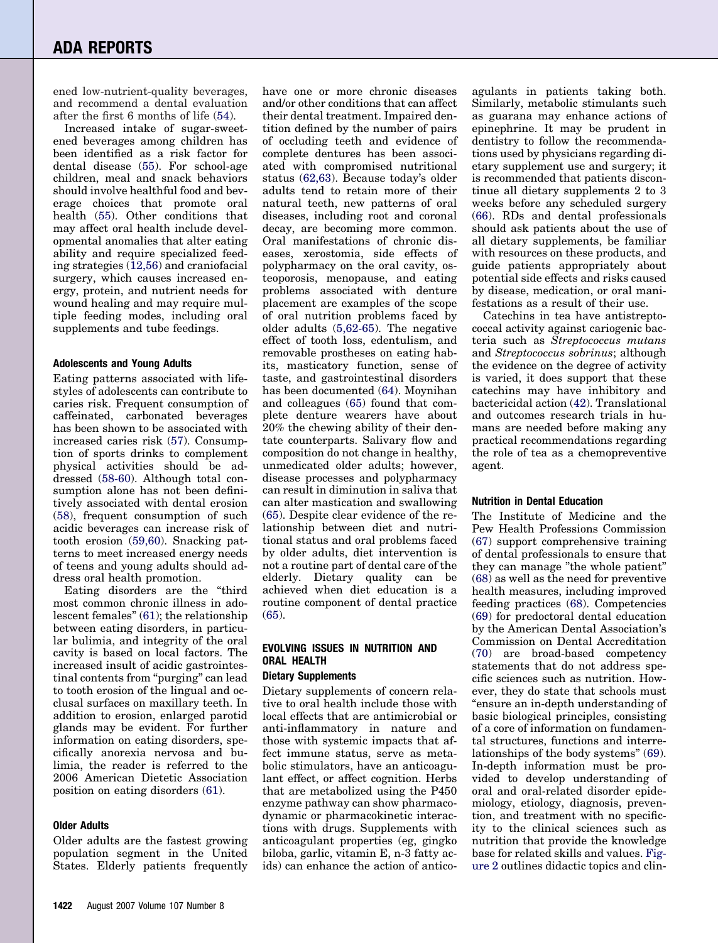ened low-nutrient-quality beverages, and recommend a dental evaluation after the first 6 months of life [\(54\)](#page-9-0).

Increased intake of sugar-sweetened beverages among children has been identified as a risk factor for dental disease [\(55\)](#page-9-0). For school-age children, meal and snack behaviors should involve healthful food and beverage choices that promote oral health [\(55\)](#page-9-0). Other conditions that may affect oral health include developmental anomalies that alter eating ability and require specialized feeding strategies [\(12,56\)](#page-8-0) and craniofacial surgery, which causes increased energy, protein, and nutrient needs for wound healing and may require multiple feeding modes, including oral supplements and tube feedings.

#### **Adolescents and Young Adults**

Eating patterns associated with lifestyles of adolescents can contribute to caries risk. Frequent consumption of caffeinated, carbonated beverages has been shown to be associated with increased caries risk [\(57\)](#page-9-0). Consumption of sports drinks to complement physical activities should be addressed [\(58-60\)](#page-9-0). Although total consumption alone has not been definitively associated with dental erosion [\(58\)](#page-9-0), frequent consumption of such acidic beverages can increase risk of tooth erosion [\(59,60\)](#page-9-0). Snacking patterns to meet increased energy needs of teens and young adults should address oral health promotion.

Eating disorders are the "third most common chronic illness in adolescent females" [\(61\)](#page-9-0); the relationship between eating disorders, in particular bulimia, and integrity of the oral cavity is based on local factors. The increased insult of acidic gastrointestinal contents from "purging" can lead to tooth erosion of the lingual and occlusal surfaces on maxillary teeth. In addition to erosion, enlarged parotid glands may be evident. For further information on eating disorders, specifically anorexia nervosa and bulimia, the reader is referred to the 2006 American Dietetic Association position on eating disorders [\(61\)](#page-9-0).

#### **Older Adults**

Older adults are the fastest growing population segment in the United States. Elderly patients frequently have one or more chronic diseases and/or other conditions that can affect their dental treatment. Impaired dentition defined by the number of pairs of occluding teeth and evidence of complete dentures has been associated with compromised nutritional status [\(62,63\)](#page-9-0). Because today's older adults tend to retain more of their natural teeth, new patterns of oral diseases, including root and coronal decay, are becoming more common. Oral manifestations of chronic diseases, xerostomia, side effects of polypharmacy on the oral cavity, osteoporosis, menopause, and eating problems associated with denture placement are examples of the scope of oral nutrition problems faced by older adults [\(5,62-65\)](#page-8-0). The negative effect of tooth loss, edentulism, and removable prostheses on eating habits, masticatory function, sense of taste, and gastrointestinal disorders has been documented [\(64\)](#page-9-0). Moynihan and colleagues [\(65\)](#page-9-0) found that complete denture wearers have about 20% the chewing ability of their dentate counterparts. Salivary flow and composition do not change in healthy, unmedicated older adults; however, disease processes and polypharmacy can result in diminution in saliva that can alter mastication and swallowing [\(65\)](#page-9-0). Despite clear evidence of the relationship between diet and nutritional status and oral problems faced by older adults, diet intervention is not a routine part of dental care of the elderly. Dietary quality can be achieved when diet education is a routine component of dental practice [\(65\)](#page-9-0).

#### **EVOLVING ISSUES IN NUTRITION AND ORAL HEALTH**

#### **Dietary Supplements**

Dietary supplements of concern relative to oral health include those with local effects that are antimicrobial or anti-inflammatory in nature and those with systemic impacts that affect immune status, serve as metabolic stimulators, have an anticoagulant effect, or affect cognition. Herbs that are metabolized using the P450 enzyme pathway can show pharmacodynamic or pharmacokinetic interactions with drugs. Supplements with anticoagulant properties (eg, gingko biloba, garlic, vitamin E, n-3 fatty acids) can enhance the action of anticoagulants in patients taking both. Similarly, metabolic stimulants such as guarana may enhance actions of epinephrine. It may be prudent in dentistry to follow the recommendations used by physicians regarding dietary supplement use and surgery; it is recommended that patients discontinue all dietary supplements 2 to 3 weeks before any scheduled surgery [\(66\)](#page-9-0). RDs and dental professionals should ask patients about the use of all dietary supplements, be familiar with resources on these products, and guide patients appropriately about potential side effects and risks caused by disease, medication, or oral manifestations as a result of their use.

Catechins in tea have antistreptococcal activity against cariogenic bacteria such as *Streptococcus mutans* and *Streptococcus sobrinus*; although the evidence on the degree of activity is varied, it does support that these catechins may have inhibitory and bactericidal action [\(42\)](#page-9-0). Translational and outcomes research trials in humans are needed before making any practical recommendations regarding the role of tea as a chemopreventive agent.

#### **Nutrition in Dental Education**

The Institute of Medicine and the Pew Health Professions Commission [\(67\)](#page-9-0) support comprehensive training of dental professionals to ensure that they can manage "the whole patient" [\(68\)](#page-9-0) as well as the need for preventive health measures, including improved feeding practices [\(68\)](#page-9-0). Competencies [\(69\)](#page-9-0) for predoctoral dental education by the American Dental Association's Commission on Dental Accreditation [\(70\)](#page-9-0) are broad-based competency statements that do not address specific sciences such as nutrition. However, they do state that schools must "ensure an in-depth understanding of basic biological principles, consisting of a core of information on fundamental structures, functions and interrelationships of the body systems" [\(69\)](#page-9-0). In-depth information must be provided to develop understanding of oral and oral-related disorder epidemiology, etiology, diagnosis, prevention, and treatment with no specificity to the clinical sciences such as nutrition that provide the knowledge base for related skills and values. [Fig](#page-5-0)[ure 2](#page-5-0) outlines didactic topics and clin-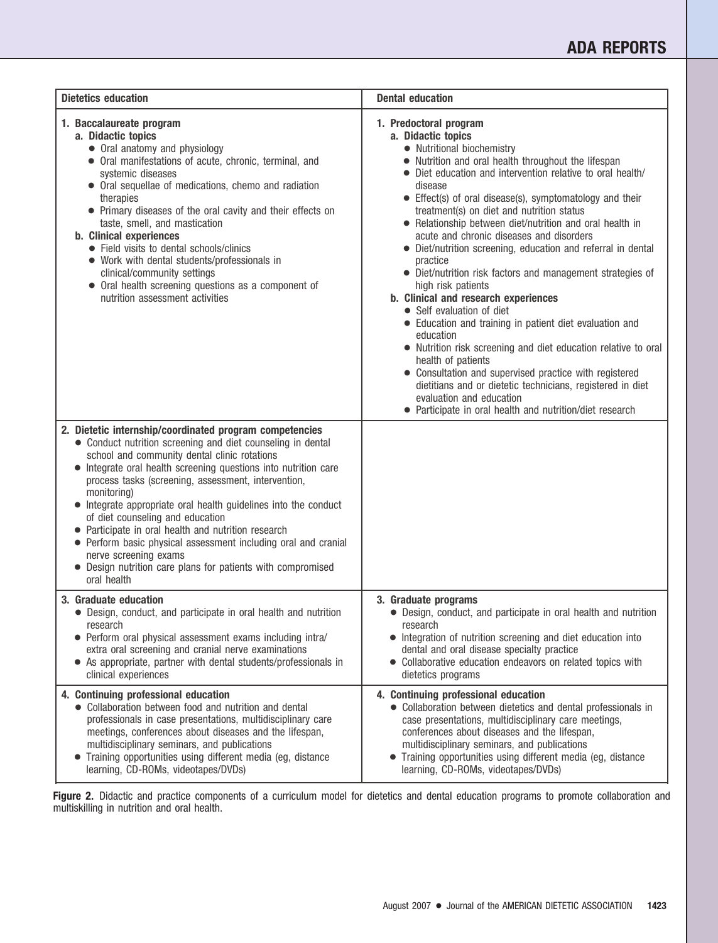<span id="page-5-0"></span>

| <b>Dietetics education</b>                                                                                                                                                                                                                                                                                                                                                                                                                                                                                                                                                                                                                             | <b>Dental education</b>                                                                                                                                                                                                                                                                                                                                                                                                                                                                                                                                                                                                                                                                                                                                                                                                                                                                                                                                                                                                                          |
|--------------------------------------------------------------------------------------------------------------------------------------------------------------------------------------------------------------------------------------------------------------------------------------------------------------------------------------------------------------------------------------------------------------------------------------------------------------------------------------------------------------------------------------------------------------------------------------------------------------------------------------------------------|--------------------------------------------------------------------------------------------------------------------------------------------------------------------------------------------------------------------------------------------------------------------------------------------------------------------------------------------------------------------------------------------------------------------------------------------------------------------------------------------------------------------------------------------------------------------------------------------------------------------------------------------------------------------------------------------------------------------------------------------------------------------------------------------------------------------------------------------------------------------------------------------------------------------------------------------------------------------------------------------------------------------------------------------------|
| 1. Baccalaureate program<br>a. Didactic topics<br>• Oral anatomy and physiology<br>• Oral manifestations of acute, chronic, terminal, and<br>systemic diseases<br>• Oral sequellae of medications, chemo and radiation<br>therapies<br>• Primary diseases of the oral cavity and their effects on<br>taste, smell, and mastication<br><b>b.</b> Clinical experiences<br>• Field visits to dental schools/clinics<br>• Work with dental students/professionals in<br>clinical/community settings<br>• Oral health screening questions as a component of<br>nutrition assessment activities                                                              | 1. Predoctoral program<br>a. Didactic topics<br>• Nutritional biochemistry<br>• Nutrition and oral health throughout the lifespan<br>• Diet education and intervention relative to oral health/<br>disease<br>• Effect(s) of oral disease(s), symptomatology and their<br>treatment(s) on diet and nutrition status<br>• Relationship between diet/nutrition and oral health in<br>acute and chronic diseases and disorders<br>• Diet/nutrition screening, education and referral in dental<br>practice<br>• Diet/nutrition risk factors and management strategies of<br>high risk patients<br>b. Clinical and research experiences<br>• Self evaluation of diet<br>• Education and training in patient diet evaluation and<br>education<br>• Nutrition risk screening and diet education relative to oral<br>health of patients<br>• Consultation and supervised practice with registered<br>dietitians and or dietetic technicians, registered in diet<br>evaluation and education<br>• Participate in oral health and nutrition/diet research |
| 2. Dietetic internship/coordinated program competencies<br>• Conduct nutrition screening and diet counseling in dental<br>school and community dental clinic rotations<br>• Integrate oral health screening questions into nutrition care<br>process tasks (screening, assessment, intervention,<br>monitoring)<br>• Integrate appropriate oral health guidelines into the conduct<br>of diet counseling and education<br>• Participate in oral health and nutrition research<br>• Perform basic physical assessment including oral and cranial<br>nerve screening exams<br>• Design nutrition care plans for patients with compromised<br>oral health |                                                                                                                                                                                                                                                                                                                                                                                                                                                                                                                                                                                                                                                                                                                                                                                                                                                                                                                                                                                                                                                  |
| 3. Graduate education<br>• Design, conduct, and participate in oral health and nutrition<br>research<br>• Perform oral physical assessment exams including intra/<br>extra oral screening and cranial nerve examinations<br>• As appropriate, partner with dental students/professionals in<br>clinical experiences                                                                                                                                                                                                                                                                                                                                    | 3. Graduate programs<br>• Design, conduct, and participate in oral health and nutrition<br>research<br>• Integration of nutrition screening and diet education into<br>dental and oral disease specialty practice<br>• Collaborative education endeavors on related topics with<br>dietetics programs                                                                                                                                                                                                                                                                                                                                                                                                                                                                                                                                                                                                                                                                                                                                            |
| 4. Continuing professional education<br>• Collaboration between food and nutrition and dental<br>professionals in case presentations, multidisciplinary care<br>meetings, conferences about diseases and the lifespan,<br>multidisciplinary seminars, and publications<br>• Training opportunities using different media (eg, distance<br>learning, CD-ROMs, videotapes/DVDs)                                                                                                                                                                                                                                                                          | 4. Continuing professional education<br>• Collaboration between dietetics and dental professionals in<br>case presentations, multidisciplinary care meetings,<br>conferences about diseases and the lifespan,<br>multidisciplinary seminars, and publications<br>• Training opportunities using different media (eg, distance<br>learning, CD-ROMs, videotapes/DVDs)                                                                                                                                                                                                                                                                                                                                                                                                                                                                                                                                                                                                                                                                             |

Figure 2. Didactic and practice components of a curriculum model for dietetics and dental education programs to promote collaboration and multiskilling in nutrition and oral health.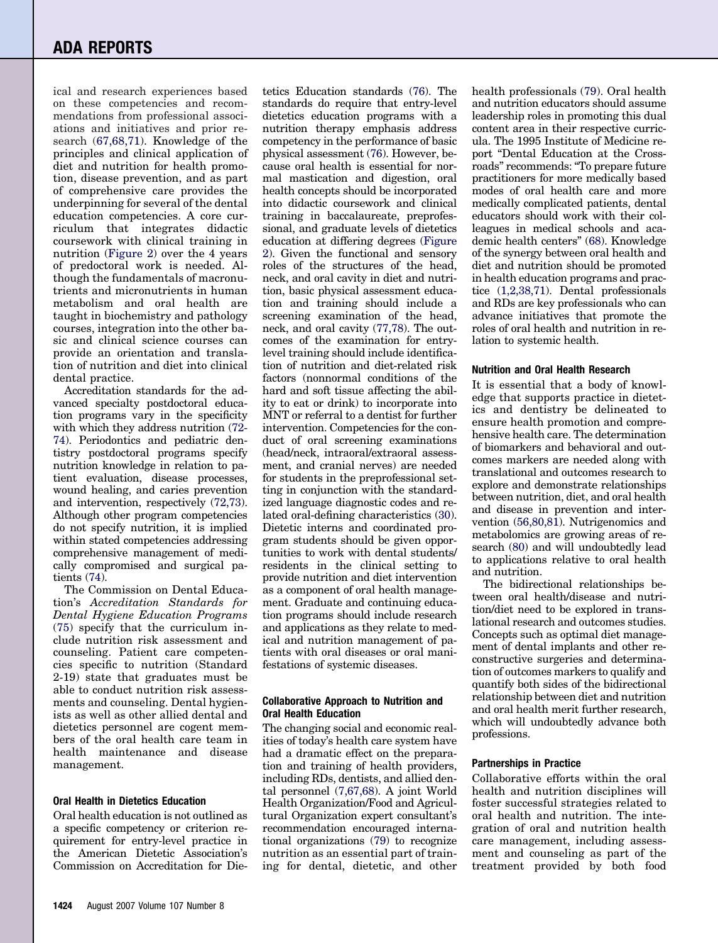ical and research experiences based on these competencies and recommendations from professional associations and initiatives and prior research [\(67,68,71\)](#page-9-0). Knowledge of the principles and clinical application of diet and nutrition for health promotion, disease prevention, and as part of comprehensive care provides the underpinning for several of the dental education competencies. A core curriculum that integrates didactic coursework with clinical training in nutrition [\(Figure 2\)](#page-5-0) over the 4 years of predoctoral work is needed. Although the fundamentals of macronutrients and micronutrients in human metabolism and oral health are taught in biochemistry and pathology courses, integration into the other basic and clinical science courses can provide an orientation and translation of nutrition and diet into clinical dental practice.

Accreditation standards for the advanced specialty postdoctoral education programs vary in the specificity with which they address nutrition [\(72-](#page-9-0) [74\)](#page-9-0). Periodontics and pediatric dentistry postdoctoral programs specify nutrition knowledge in relation to patient evaluation, disease processes, wound healing, and caries prevention and intervention, respectively [\(72,73\)](#page-9-0). Although other program competencies do not specify nutrition, it is implied within stated competencies addressing comprehensive management of medically compromised and surgical patients [\(74\)](#page-9-0).

The Commission on Dental Education's *Accreditation Standards for Dental Hygiene Education Programs* [\(75\)](#page-9-0) specify that the curriculum include nutrition risk assessment and counseling. Patient care competencies specific to nutrition (Standard 2-19) state that graduates must be able to conduct nutrition risk assessments and counseling. Dental hygienists as well as other allied dental and dietetics personnel are cogent members of the oral health care team in health maintenance and disease management.

#### **Oral Health in Dietetics Education**

Oral health education is not outlined as a specific competency or criterion requirement for entry-level practice in the American Dietetic Association's Commission on Accreditation for Dietetics Education standards [\(76\)](#page-9-0). The standards do require that entry-level dietetics education programs with a nutrition therapy emphasis address competency in the performance of basic physical assessment [\(76\)](#page-9-0). However, because oral health is essential for normal mastication and digestion, oral health concepts should be incorporated into didactic coursework and clinical training in baccalaureate, preprofessional, and graduate levels of dietetics education at differing degrees [\(Figure](#page-5-0) [2\)](#page-5-0). Given the functional and sensory roles of the structures of the head, neck, and oral cavity in diet and nutrition, basic physical assessment education and training should include a screening examination of the head, neck, and oral cavity [\(77,78\)](#page-9-0). The outcomes of the examination for entrylevel training should include identification of nutrition and diet-related risk factors (nonnormal conditions of the hard and soft tissue affecting the ability to eat or drink) to incorporate into MNT or referral to a dentist for further intervention. Competencies for the conduct of oral screening examinations (head/neck, intraoral/extraoral assessment, and cranial nerves) are needed for students in the preprofessional setting in conjunction with the standardized language diagnostic codes and related oral-defining characteristics [\(30\)](#page-8-0). Dietetic interns and coordinated program students should be given opportunities to work with dental students/ residents in the clinical setting to provide nutrition and diet intervention as a component of oral health management. Graduate and continuing education programs should include research and applications as they relate to medical and nutrition management of patients with oral diseases or oral manifestations of systemic diseases.

#### **Collaborative Approach to Nutrition and Oral Health Education**

The changing social and economic realities of today's health care system have had a dramatic effect on the preparation and training of health providers, including RDs, dentists, and allied dental personnel [\(7,67,68\)](#page-8-0). A joint World Health Organization/Food and Agricultural Organization expert consultant's recommendation encouraged international organizations [\(79\)](#page-9-0) to recognize nutrition as an essential part of training for dental, dietetic, and other health professionals [\(79\)](#page-9-0). Oral health and nutrition educators should assume leadership roles in promoting this dual content area in their respective curricula. The 1995 Institute of Medicine report "Dental Education at the Crossroads" recommends: "To prepare future practitioners for more medically based modes of oral health care and more medically complicated patients, dental educators should work with their colleagues in medical schools and academic health centers" [\(68\)](#page-9-0). Knowledge of the synergy between oral health and diet and nutrition should be promoted in health education programs and practice [\(1,2,38,71\)](#page-8-0). Dental professionals and RDs are key professionals who can advance initiatives that promote the roles of oral health and nutrition in relation to systemic health.

#### **Nutrition and Oral Health Research**

It is essential that a body of knowledge that supports practice in dietetics and dentistry be delineated to ensure health promotion and comprehensive health care. The determination of biomarkers and behavioral and outcomes markers are needed along with translational and outcomes research to explore and demonstrate relationships between nutrition, diet, and oral health and disease in prevention and intervention [\(56,80,81\)](#page-9-0). Nutrigenomics and metabolomics are growing areas of research [\(80\)](#page-9-0) and will undoubtedly lead to applications relative to oral health and nutrition.

The bidirectional relationships between oral health/disease and nutrition/diet need to be explored in translational research and outcomes studies. Concepts such as optimal diet management of dental implants and other reconstructive surgeries and determination of outcomes markers to qualify and quantify both sides of the bidirectional relationship between diet and nutrition and oral health merit further research, which will undoubtedly advance both professions.

#### **Partnerships in Practice**

Collaborative efforts within the oral health and nutrition disciplines will foster successful strategies related to oral health and nutrition. The integration of oral and nutrition health care management, including assessment and counseling as part of the treatment provided by both food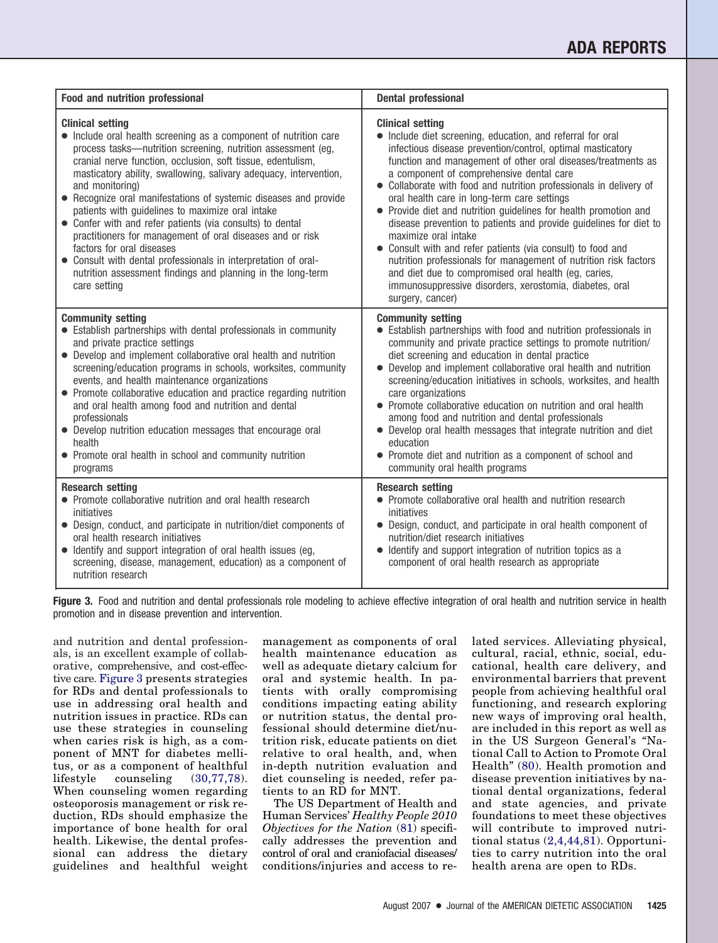<span id="page-7-0"></span>

| Food and nutrition professional                                                                                                                                                                                                                                                                                                                                                                                                                                                                                                                                                                                                                                                                                                                    | <b>Dental professional</b>                                                                                                                                                                                                                                                                                                                                                                                                                                                                                                                                                                                                                                                                                                                                                                                                      |
|----------------------------------------------------------------------------------------------------------------------------------------------------------------------------------------------------------------------------------------------------------------------------------------------------------------------------------------------------------------------------------------------------------------------------------------------------------------------------------------------------------------------------------------------------------------------------------------------------------------------------------------------------------------------------------------------------------------------------------------------------|---------------------------------------------------------------------------------------------------------------------------------------------------------------------------------------------------------------------------------------------------------------------------------------------------------------------------------------------------------------------------------------------------------------------------------------------------------------------------------------------------------------------------------------------------------------------------------------------------------------------------------------------------------------------------------------------------------------------------------------------------------------------------------------------------------------------------------|
| <b>Clinical setting</b><br>• Include oral health screening as a component of nutrition care<br>process tasks-nutrition screening, nutrition assessment (eg,<br>cranial nerve function, occlusion, soft tissue, edentulism,<br>masticatory ability, swallowing, salivary adequacy, intervention,<br>and monitoring)<br>• Recognize oral manifestations of systemic diseases and provide<br>patients with guidelines to maximize oral intake<br>• Confer with and refer patients (via consults) to dental<br>practitioners for management of oral diseases and or risk<br>factors for oral diseases<br>• Consult with dental professionals in interpretation of oral-<br>nutrition assessment findings and planning in the long-term<br>care setting | <b>Clinical setting</b><br>• Include diet screening, education, and referral for oral<br>infectious disease prevention/control, optimal masticatory<br>function and management of other oral diseases/treatments as<br>a component of comprehensive dental care<br>• Collaborate with food and nutrition professionals in delivery of<br>oral health care in long-term care settings<br>• Provide diet and nutrition guidelines for health promotion and<br>disease prevention to patients and provide guidelines for diet to<br>maximize oral intake<br>• Consult with and refer patients (via consult) to food and<br>nutrition professionals for management of nutrition risk factors<br>and diet due to compromised oral health (eg, caries,<br>immunosuppressive disorders, xerostomia, diabetes, oral<br>surgery, cancer) |
| <b>Community setting</b><br>• Establish partnerships with dental professionals in community<br>and private practice settings<br>• Develop and implement collaborative oral health and nutrition<br>screening/education programs in schools, worksites, community<br>events, and health maintenance organizations<br>• Promote collaborative education and practice regarding nutrition<br>and oral health among food and nutrition and dental<br>professionals<br>• Develop nutrition education messages that encourage oral<br>health<br>• Promote oral health in school and community nutrition<br>programs                                                                                                                                      | <b>Community setting</b><br>• Establish partnerships with food and nutrition professionals in<br>community and private practice settings to promote nutrition/<br>diet screening and education in dental practice<br>• Develop and implement collaborative oral health and nutrition<br>screening/education initiatives in schools, worksites, and health<br>care organizations<br>• Promote collaborative education on nutrition and oral health<br>among food and nutrition and dental professionals<br>• Develop oral health messages that integrate nutrition and diet<br>education<br>• Promote diet and nutrition as a component of school and<br>community oral health programs                                                                                                                                          |
| <b>Research setting</b><br>• Promote collaborative nutrition and oral health research<br>initiatives<br>• Design, conduct, and participate in nutrition/diet components of<br>oral health research initiatives<br>• Identify and support integration of oral health issues (eg,<br>screening, disease, management, education) as a component of<br>nutrition research                                                                                                                                                                                                                                                                                                                                                                              | <b>Research setting</b><br>• Promote collaborative oral health and nutrition research<br>initiatives<br>• Design, conduct, and participate in oral health component of<br>nutrition/diet research initiatives<br>• Identify and support integration of nutrition topics as a<br>component of oral health research as appropriate                                                                                                                                                                                                                                                                                                                                                                                                                                                                                                |

Figure 3. Food and nutrition and dental professionals role modeling to achieve effective integration of oral health and nutrition service in health promotion and in disease prevention and intervention.

and nutrition and dental professionals, is an excellent example of collaborative, comprehensive, and cost-effective care. Figure 3 presents strategies for RDs and dental professionals to use in addressing oral health and nutrition issues in practice. RDs can use these strategies in counseling when caries risk is high, as a component of MNT for diabetes mellitus, or as a component of healthful lifestyle counseling [\(30,77,78\)](#page-8-0). When counseling women regarding osteoporosis management or risk reduction, RDs should emphasize the importance of bone health for oral health. Likewise, the dental professional can address the dietary guidelines and healthful weight management as components of oral health maintenance education as well as adequate dietary calcium for oral and systemic health. In patients with orally compromising conditions impacting eating ability or nutrition status, the dental professional should determine diet/nutrition risk, educate patients on diet relative to oral health, and, when in-depth nutrition evaluation and diet counseling is needed, refer patients to an RD for MNT.

The US Department of Health and Human Services' *Healthy People 2010 Objectives for the Nation* [\(81\)](#page-9-0) specifically addresses the prevention and control of oral and craniofacial diseases/ conditions/injuries and access to related services. Alleviating physical, cultural, racial, ethnic, social, educational, health care delivery, and environmental barriers that prevent people from achieving healthful oral functioning, and research exploring new ways of improving oral health, are included in this report as well as in the US Surgeon General's "National Call to Action to Promote Oral Health" [\(80\)](#page-9-0). Health promotion and disease prevention initiatives by national dental organizations, federal and state agencies, and private foundations to meet these objectives will contribute to improved nutritional status [\(2,4,44,81\)](#page-8-0). Opportunities to carry nutrition into the oral health arena are open to RDs.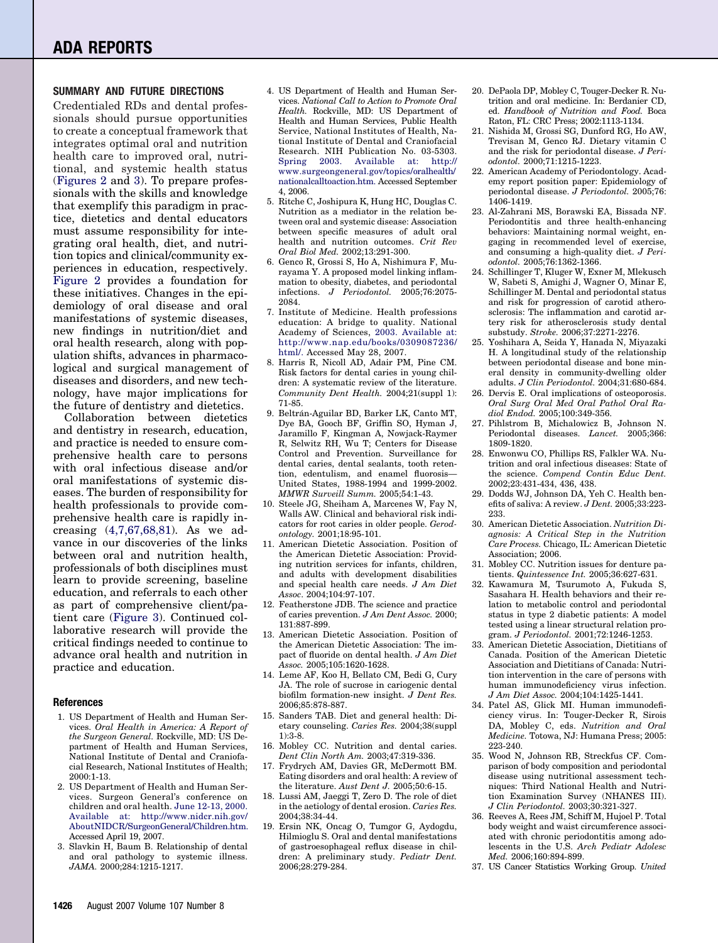#### <span id="page-8-0"></span>**SUMMARY AND FUTURE DIRECTIONS**

Credentialed RDs and dental professionals should pursue opportunities to create a conceptual framework that integrates optimal oral and nutrition health care to improved oral, nutritional, and systemic health status [\(Figures 2](#page-5-0) and [3\)](#page-7-0). To prepare professionals with the skills and knowledge that exemplify this paradigm in practice, dietetics and dental educators must assume responsibility for integrating oral health, diet, and nutrition topics and clinical/community experiences in education, respectively. [Figure 2](#page-5-0) provides a foundation for these initiatives. Changes in the epidemiology of oral disease and oral manifestations of systemic diseases, new findings in nutrition/diet and oral health research, along with population shifts, advances in pharmacological and surgical management of diseases and disorders, and new technology, have major implications for the future of dentistry and dietetics.

Collaboration between dietetics and dentistry in research, education, and practice is needed to ensure comprehensive health care to persons with oral infectious disease and/or oral manifestations of systemic diseases. The burden of responsibility for health professionals to provide comprehensive health care is rapidly increasing (4,7,67,68,81). As we advance in our discoveries of the links between oral and nutrition health, professionals of both disciplines must learn to provide screening, baseline education, and referrals to each other as part of comprehensive client/patient care [\(Figure 3\)](#page-7-0). Continued collaborative research will provide the critical findings needed to continue to advance oral health and nutrition in practice and education.

#### **References**

- 1. US Department of Health and Human Services. *Oral Health in America: A Report of the Surgeon General.* Rockville, MD: US Department of Health and Human Services, National Institute of Dental and Craniofacial Research, National Institutes of Health; 2000:1-13.
- 2. US Department of Health and Human Services. Surgeon General's conference on children and oral health. [June 12-13, 2000.](http://www.nidcr.nih.gov/AboutNIDCR/SurgeonGeneral/Children.htm) [Available at: http://www.nidcr.nih.gov/](http://www.nidcr.nih.gov/AboutNIDCR/SurgeonGeneral/Children.htm) [AboutNIDCR/SurgeonGeneral/Children.htm.](http://www.nidcr.nih.gov/AboutNIDCR/SurgeonGeneral/Children.htm) Accessed April 19, 2007.
- 3. Slavkin H, Baum B. Relationship of dental and oral pathology to systemic illness. *JAMA.* 2000;284:1215-1217.
- 4. US Department of Health and Human Services. *National Call to Action to Promote Oral Health.* Rockville, MD: US Department of Health and Human Services, Public Health Service, National Institutes of Health, National Institute of Dental and Craniofacial Research. NIH Publication No. 03-5303. [Spring 2003. Available at: http://](http://www.surgeongeneral.gov/topics/oralhealth/nationalcalltoaction.htm) [www.surgeongeneral.gov/topics/oralhealth/](http://www.surgeongeneral.gov/topics/oralhealth/nationalcalltoaction.htm) [nationalcalltoaction.htm.](http://www.surgeongeneral.gov/topics/oralhealth/nationalcalltoaction.htm) Accessed September 4, 2006.
- 5. Ritche C, Joshipura K, Hung HC, Douglas C. Nutrition as a mediator in the relation between oral and systemic disease: Association between specific measures of adult oral health and nutrition outcomes. *Crit Rev Oral Biol Med.* 2002;13:291-300.
- 6. Genco R, Grossi S, Ho A, Nishimura F, Murayama Y. A proposed model linking inflammation to obesity, diabetes, and periodontal infections. *J Periodontol.* 2005;76:2075- 2084.
- 7. Institute of Medicine. Health professions education: A bridge to quality. National Academy of Sciences, [2003. Available at:](http://www.nap.edu/books/0309087236/html/) [http://www.nap.edu/books/0309087236/](http://www.nap.edu/books/0309087236/html/) [html/.](http://www.nap.edu/books/0309087236/html/) Accessed May 28, 2007.
- 8. Harris R, Nicoll AD, Adair PM, Pine CM. Risk factors for dental caries in young children: A systematic review of the literature. *Community Dent Health.* 2004;21(suppl 1): 71-85.
- 9. Beltrán-Aguilar BD, Barker LK, Canto MT, Dye BA, Gooch BF, Griffin SO, Hyman J, Jaramillo F, Kingman A, Nowjack-Raymer R, Selwitz RH, Wu T; Centers for Disease Control and Prevention. Surveillance for dental caries, dental sealants, tooth retention, edentulism, and enamel fluorosis— United States, 1988-1994 and 1999-2002. *MMWR Surveill Summ.* 2005;54:1-43.
- 10. Steele JG, Sheiham A, Marcenes W, Fay N, Walls AW. Clinical and behavioral risk indicators for root caries in older people. *Gerodontology.* 2001;18:95-101.
- 11. American Dietetic Association. Position of the American Dietetic Association: Providing nutrition services for infants, children, and adults with development disabilities and special health care needs. *J Am Diet Assoc*. 2004;104:97-107.
- 12. Featherstone JDB. The science and practice of caries prevention. *J Am Dent Assoc.* 2000; 131:887-899.
- 13. American Dietetic Association. Position of the American Dietetic Association: The impact of fluoride on dental health. *J Am Diet Assoc.* 2005;105:1620-1628.
- 14. Leme AF, Koo H, Bellato CM, Bedi G, Cury JA. The role of sucrose in cariogenic dental biofilm formation-new insight. *J Dent Res.* 2006;85:878-887.
- 15. Sanders TAB. Diet and general health: Dietary counseling. *Caries Res.* 2004;38(suppl 1):3-8.
- 16. Mobley CC. Nutrition and dental caries. *Dent Clin North Am.* 2003;47:319-336.
- 17. Frydrych AM, Davies GR, McDermott BM. Eating disorders and oral health: A review of the literature. *Aust Dent J.* 2005;50:6-15.
- 18. Lussi AM, Jaeggi T, Zero D. The role of diet in the aetiology of dental erosion. *Caries Res.* 2004;38:34-44.
- 19. Ersin NK, Oncag O, Tumgor G, Aydogdu, Hilmioglu S. Oral and dental manifestations of gastroesophageal reflux disease in children: A preliminary study. *Pediatr Dent.* 2006;28:279-284.
- 20. DePaola DP, Mobley C, Touger-Decker R. Nutrition and oral medicine. In: Berdanier CD, ed. *Handbook of Nutrition and Food.* Boca Raton, FL: CRC Press; 2002:1113-1134.
- 21. Nishida M, Grossi SG, Dunford RG, Ho AW, Trevisan M, Genco RJ. Dietary vitamin C and the risk for periodontal disease. *J Periodontol.* 2000;71:1215-1223.
- 22. American Academy of Periodontology. Academy report position paper: Epidemiology of periodontal disease. *J Periodontol.* 2005;76: 1406-1419.
- 23. Al-Zahrani MS, Borawski EA, Bissada NF. Periodontitis and three health-enhancing behaviors: Maintaining normal weight, engaging in recommended level of exercise, and consuming a high-quality diet. *J Periodontol.* 2005;76:1362-1366.
- 24. Schillinger T, Kluger W, Exner M, Mlekusch W, Sabeti S, Amighi J, Wagner O, Minar E, Schillinger M. Dental and periodontal status and risk for progression of carotid atherosclerosis: The inflammation and carotid artery risk for atherosclerosis study dental substudy. *Stroke.* 2006;37:2271-2276.
- 25. Yoshihara A, Seida Y, Hanada N, Miyazaki H. A longitudinal study of the relationship between periodontal disease and bone mineral density in community-dwelling older adults. *J Clin Periodontol.* 2004;31:680-684.
- 26. Dervis E. Oral implications of osteoporosis. *Oral Surg Oral Med Oral Pathol Oral Radiol Endod.* 2005;100:349-356.
- 27. Pihlstrom B, Michalowicz B, Johnson N. Periodontal diseases. *Lancet.* 2005;366: 1809-1820.
- 28. Enwonwu CO, Phillips RS, Falkler WA. Nutrition and oral infectious diseases: State of the science. *Compend Contin Educ Dent.* 2002;23:431-434, 436, 438.
- 29. Dodds WJ, Johnson DA, Yeh C. Health benefits of saliva: A review. *J Dent.* 2005;33:223- 233.
- 30. American Dietetic Association. *Nutrition Diagnosis: A Critical Step in the Nutrition Care Process.* Chicago, IL: American Dietetic Association; 2006.
- 31. Mobley CC. Nutrition issues for denture patients. *Quintessence Int.* 2005;36:627-631.
- 32. Kawamura M, Tsurumoto A, Fukuda S, Sasahara H. Health behaviors and their relation to metabolic control and periodontal status in type 2 diabetic patients: A model tested using a linear structural relation program. *J Periodontol.* 2001;72:1246-1253.
- 33. American Dietetic Association, Dietitians of Canada. Position of the American Dietetic Association and Dietitians of Canada: Nutrition intervention in the care of persons with human immunodeficiency virus infection. *J Am Diet Assoc.* 2004;104:1425-1441.
- 34. Patel AS, Glick MI. Human immunodeficiency virus. In: Touger-Decker R, Sirois DA, Mobley C, eds. *Nutrition and Oral Medicine.* Totowa, NJ: Humana Press; 2005: 223-240.
- 35. Wood N, Johnson RB, Streckfus CF. Comparison of body composition and periodontal disease using nutritional assessment techniques: Third National Health and Nutrition Examination Survey (NHANES III). *J Clin Periodontol.* 2003;30:321-327.
- 36. Reeves A, Rees JM, Schiff M, Hujoel P. Total body weight and waist circumference associated with chronic periodontitis among adolescents in the U.S. *Arch Pediatr Adolesc Med.* 2006;160:894-899.
- 37. US Cancer Statistics Working Group. *United*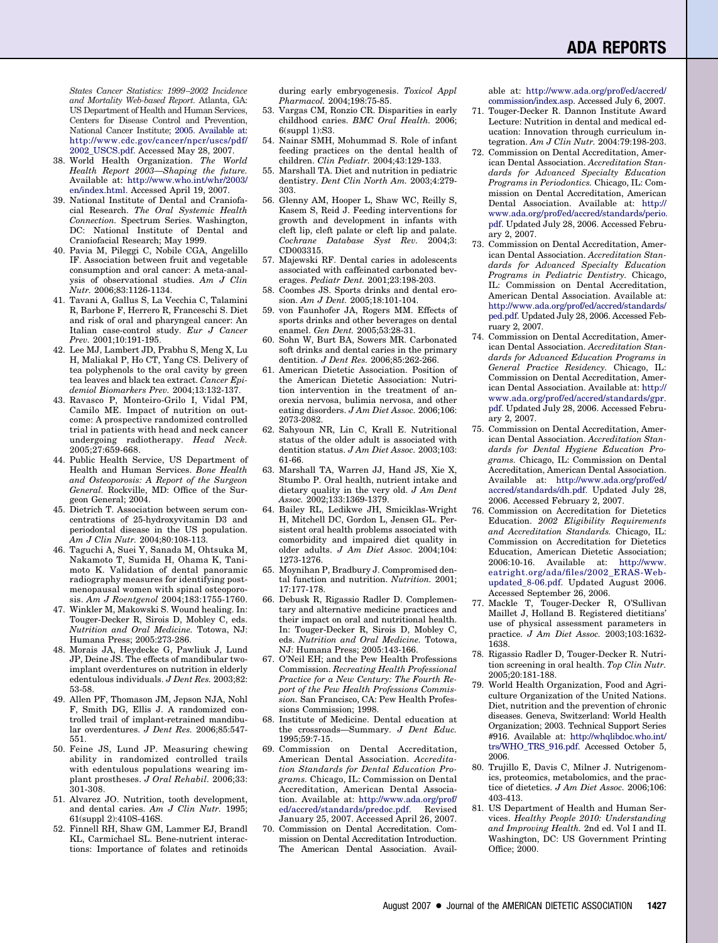### **ADA REPORTS**

<span id="page-9-0"></span>*States Cancer Statistics: 1999–2002 Incidence and Mortality Web-based Report.* Atlanta, GA: US Department of Health and Human Services, Centers for Disease Control and Prevention, National Cancer Institute; [2005. Available at:](http://www.cdc.gov/cancer/npcr/uscs/pdf/2002_USCS.pdf) [http://www.cdc.gov/cancer/npcr/uscs/pdf/](http://www.cdc.gov/cancer/npcr/uscs/pdf/2002_USCS.pdf) [2002\\_USCS.pdf.](http://www.cdc.gov/cancer/npcr/uscs/pdf/2002_USCS.pdf) Accessed May 28, 2007.

- 38. World Health Organization. *The World Health Report 2003—Shaping the future.* Available at: [http://www.who.int/whr/2003/](http://www.who.int/whr/2003/en/index.html) [en/index.html.](http://www.who.int/whr/2003/en/index.html) Accessed April 19, 2007.
- 39. National Institute of Dental and Craniofacial Research. *The Oral Systemic Health Connection.* Spectrum Series. Washington, DC: National Institute of Dental and Craniofacial Research; May 1999.
- 40. Pavia M, Pileggi C, Nobile CGA, Angelillo IF. Association between fruit and vegetable consumption and oral cancer: A meta-analysis of observational studies. *Am J Clin Nutr.* 2006;83:1126-1134.
- 41. Tavani A, Gallus S, La Vecchia C, Talamini R, Barbone F, Herrero R, Franceschi S. Diet and risk of oral and pharyngeal cancer: An Italian case-control study. *Eur J Cancer Prev.* 2001;10:191-195.
- 42. Lee MJ, Lambert JD, Prabhu S, Meng X, Lu H, Maliakal P, Ho CT, Yang CS. Delivery of tea polyphenols to the oral cavity by green tea leaves and black tea extract. *Cancer Epidemiol Biomarkers Prev.* 2004;13:132-137.
- 43. Ravasco P, Monteiro-Grilo I, Vidal PM, Camilo ME. Impact of nutrition on outcome: A prospective randomized controlled trial in patients with head and neck cancer undergoing radiotherapy. *Head Neck.* 2005;27:659-668.
- 44. Public Health Service, US Department of Health and Human Services. *Bone Health and Osteoporosis: A Report of the Surgeon General.* Rockville, MD: Office of the Surgeon General; 2004.
- 45. Dietrich T. Association between serum concentrations of 25-hydroxyvitamin D3 and periodontal disease in the US population. *Am J Clin Nutr.* 2004;80:108-113.
- 46. Taguchi A, Suei Y, Sanada M, Ohtsuka M, Nakamoto T, Sumida H, Ohama K, Tanimoto K. Validation of dental panoramic radiography measures for identifying postmenopausal women with spinal osteoporosis. *Am J Roentgenol* 2004;183:1755-1760.
- 47. Winkler M, Makowski S. Wound healing. In: Touger-Decker R, Sirois D, Mobley C, eds. *Nutrition and Oral Medicine.* Totowa, NJ: Humana Press; 2005:273-286.
- 48. Morais JA, Heydecke G, Pawliuk J, Lund JP, Deine JS. The effects of mandibular twoimplant overdentures on nutrition in elderly edentulous individuals. *J Dent Res.* 2003;82: 53-58.
- 49. Allen PF, Thomason JM, Jepson NJA, Nohl F, Smith DG, Ellis J. A randomized controlled trail of implant-retrained mandibular overdentures. *J Dent Res.* 2006;85:547- 551.
- 50. Feine JS, Lund JP. Measuring chewing ability in randomized controlled trails with edentulous populations wearing implant prostheses. *J Oral Rehabil.* 2006;33: 301-308.
- 51. Alvarez JO. Nutrition, tooth development, and dental caries. *Am J Clin Nutr.* 1995; 61(suppl 2):410S-416S.
- 52. Finnell RH, Shaw GM, Lammer EJ, Brandl KL, Carmichael SL. Bene-nutrient interactions: Importance of folates and retinoids

during early embryogenesis. *Toxicol Appl Pharmacol.* 2004;198:75-85.

- 53. Vargas CM, Ronzio CR. Disparities in early childhood caries. *BMC Oral Health.* 2006; 6(suppl 1):S3.
- 54. Nainar SMH, Mohummad S. Role of infant feeding practices on the dental health of children. *Clin Pediatr.* 2004;43:129-133.
- 55. Marshall TA. Diet and nutrition in pediatric dentistry. *Dent Clin North Am.* 2003;4:279- 303.
- 56. Glenny AM, Hooper L, Shaw WC, Reilly S, Kasem S, Reid J. Feeding interventions for growth and development in infants with cleft lip, cleft palate or cleft lip and palate. *Cochrane Database Syst Rev.* 2004;3: CD003315.
- 57. Majewski RF. Dental caries in adolescents associated with caffeinated carbonated beverages. *Pediatr Dent.* 2001;23:198-203.
- 58. Coombes JS. Sports drinks and dental erosion. *Am J Dent.* 2005;18:101-104.
- 59. von Faunhofer JA, Rogers MM. Effects of sports drinks and other beverages on dental enamel. *Gen Dent.* 2005;53:28-31.
- 60. Sohn W, Burt BA, Sowers MR. Carbonated soft drinks and dental caries in the primary dentition. *J Dent Res.* 2006;85:262-266.
- 61. American Dietetic Association. Position of the American Dietetic Association: Nutrition intervention in the treatment of anorexia nervosa, bulimia nervosa, and other eating disorders. *J Am Diet Assoc.* 2006;106: 2073-2082.
- 62. Sahyoun NR, Lin C, Krall E. Nutritional status of the older adult is associated with dentition status. *J Am Diet Assoc.* 2003;103: 61-66.
- 63. Marshall TA, Warren JJ, Hand JS, Xie X, Stumbo P. Oral health, nutrient intake and dietary quality in the very old. *J Am Dent Assoc.* 2002;133:1369-1379.
- 64. Bailey RL, Ledikwe JH, Smiciklas-Wright H, Mitchell DC, Gordon L, Jensen GL. Persistent oral health problems associated with comorbidity and impaired diet quality in older adults. *J Am Diet Assoc.* 2004;104: 1273-1276.
- 65. Moynihan P, Bradbury J. Compromised dental function and nutrition. *Nutrition.* 2001; 17:177-178.
- 66. Debusk R, Rigassio Radler D. Complementary and alternative medicine practices and their impact on oral and nutritional health. In: Touger-Decker R, Sirois D, Mobley C, eds. *Nutrition and Oral Medicine.* Totowa, NJ: Humana Press; 2005:143-166.
- 67. O'Neil EH; and the Pew Health Professions Commission. *Recreating Health Professional Practice for a New Century: The Fourth Report of the Pew Health Professions Commission.* San Francisco, CA: Pew Health Professions Commission; 1998.
- 68. Institute of Medicine. Dental education at the crossroads—Summary. *J Dent Educ.* 1995;59:7-15.
- 69. Commission on Dental Accreditation, American Dental Association. *Accreditation Standards for Dental Education Programs.* Chicago, IL: Commission on Dental Accreditation, American Dental Association. Available at: [http://www.ada.org/prof/](http://www.ada.org/prof/ed/accred/standards/predoc.pdf) [ed/accred/standards/predoc.pdf.](http://www.ada.org/prof/ed/accred/standards/predoc.pdf) Revised January 25, 2007. Accessed April 26, 2007.
- 70. Commission on Dental Accreditation. Commission on Dental Accreditation Introduction. The American Dental Association. Avail-

able at: [http://www.ada.org/prof/ed/accred/](http://www.ada.org/prof/ed/accred/commission/index.asp) [commission/index.asp.](http://www.ada.org/prof/ed/accred/commission/index.asp) Accessed July 6, 2007.

- 71. Touger-Decker R. Dannon Institute Award Lecture: Nutrition in dental and medical education: Innovation through curriculum integration. *Am J Clin Nutr.* 2004:79:198-203.
- 72. Commission on Dental Accreditation, American Dental Association. *Accreditation Standards for Advanced Specialty Education Programs in Periodontics.* Chicago, IL: Commission on Dental Accreditation, American Dental Association. Available at: [http://](http://www.ada.org/prof/ed/accred/standards/perio.pdf) [www.ada.org/prof/ed/accred/standards/perio.](http://www.ada.org/prof/ed/accred/standards/perio.pdf) [pdf.](http://www.ada.org/prof/ed/accred/standards/perio.pdf) Updated July 28, 2006. Accessed February 2, 2007.
- 73. Commission on Dental Accreditation, American Dental Association. *Accreditation Standards for Advanced Specialty Education Programs in Pediatric Dentistry.* Chicago, IL: Commission on Dental Accreditation, American Dental Association. Available at: [http://www.ada.org/prof/ed/accred/standards/](http://www.ada.org/prof/ed/accred/standards/ped.pdf) [ped.pdf.](http://www.ada.org/prof/ed/accred/standards/ped.pdf) Updated July 28, 2006. Accessed February 2, 2007.
- 74. Commission on Dental Accreditation, American Dental Association. *Accreditation Standards for Advanced Education Programs in General Practice Residency.* Chicago, IL: Commission on Dental Accreditation, American Dental Association. Available at: [http://](http://www.ada.org/prof/ed/accred/standards/gpr.pdf) [www.ada.org/prof/ed/accred/standards/gpr.](http://www.ada.org/prof/ed/accred/standards/gpr.pdf) [pdf.](http://www.ada.org/prof/ed/accred/standards/gpr.pdf) Updated July 28, 2006. Accessed February 2, 2007.
- 75. Commission on Dental Accreditation, American Dental Association. *Accreditation Standards for Dental Hygiene Education Programs.* Chicago, IL: Commission on Dental Accreditation, American Dental Association. Available at: [http://www.ada.org/prof/ed/](http://www.ada.org/prof/ed/accred/standards/dh.pdf) [accred/standards/dh.pdf.](http://www.ada.org/prof/ed/accred/standards/dh.pdf) Updated July 28, 2006. Accessed February 2, 2007.
- 76. Commission on Accreditation for Dietetics Education. *2002 Eligibility Requirements and Accreditation Standards.* Chicago, IL: Commission on Accreditation for Dietetics Education, American Dietetic Association; 2006:10-16. Available at: [http://www.](http://www.eatright.org/ada/files/2002_ERAS-Web-updated_8-06.pdf) [eatright.org/ada/files/2002\\_ERAS-Web](http://www.eatright.org/ada/files/2002_ERAS-Web-updated_8-06.pdf)[updated\\_8-06.pdf.](http://www.eatright.org/ada/files/2002_ERAS-Web-updated_8-06.pdf) Updated August 2006. Accessed September 26, 2006.
- 77. Mackle T, Touger-Decker R, O'Sullivan Maillet J, Holland B. Registered dietitians' use of physical assessment parameters in practice. *J Am Diet Assoc.* 2003;103:1632- 1638.
- 78. Rigassio Radler D, Touger-Decker R. Nutrition screening in oral health. *Top Clin Nutr.* 2005;20:181-188.
- 79. World Health Organization, Food and Agriculture Organization of the United Nations. Diet, nutrition and the prevention of chronic diseases. Geneva, Switzerland: World Health Organization; 2003. Technical Support Series #916. Available at: [http://whqlibdoc.who.int/](http://whqlibdoc.who.int/trs/WHO_TRS_916.pdf) [trs/WHO\\_TRS\\_916.pdf.](http://whqlibdoc.who.int/trs/WHO_TRS_916.pdf) Accessed October 5, 2006.
- 80. Trujillo E, Davis C, Milner J. Nutrigenomics, proteomics, metabolomics, and the practice of dietetics. *J Am Diet Assoc.* 2006;106: 403-413.
- 81. US Department of Health and Human Services. *Healthy People 2010: Understanding and Improving Health.* 2nd ed. Vol I and II. Washington, DC: US Government Printing Office; 2000.